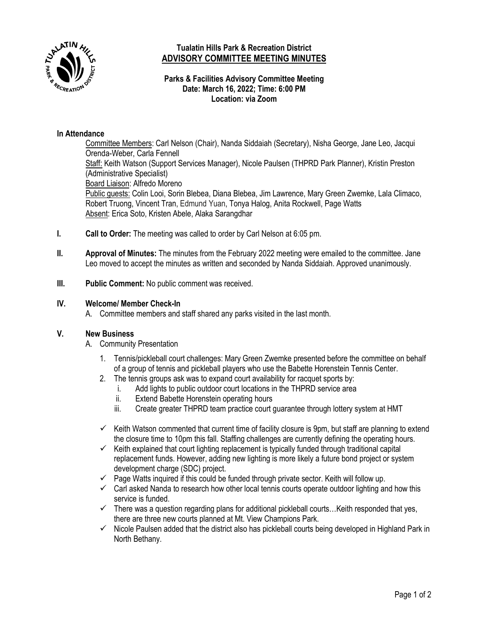

# **Tualatin Hills Park & Recreation District ADVISORY COMMITTEE MEETING MINUTES**

## **Parks & Facilities Advisory Committee Meeting Date: March 16, 2022; Time: 6:00 PM Location: via Zoom**

### **In Attendance**

Committee Members: Carl Nelson (Chair), Nanda Siddaiah (Secretary), Nisha George, Jane Leo, Jacqui Orenda-Weber, Carla Fennell Staff: Keith Watson (Support Services Manager), Nicole Paulsen (THPRD Park Planner), Kristin Preston (Administrative Specialist) Board Liaison: Alfredo Moreno Public guests: Colin Looi, Sorin Blebea, Diana Blebea, Jim Lawrence, Mary Green Zwemke, Lala Climaco, Robert Truong, Vincent Tran, Edmund Yuan, Tonya Halog, Anita Rockwell, Page Watts Absent: Erica Soto, Kristen Abele, Alaka Sarangdhar

- **I. Call to Order:** The meeting was called to order by Carl Nelson at 6:05 pm.
- **II. Approval of Minutes:** The minutes from the February 2022 meeting were emailed to the committee. Jane Leo moved to accept the minutes as written and seconded by Nanda Siddaiah. Approved unanimously.
- **III. Public Comment:** No public comment was received.

#### **IV. Welcome/ Member Check-In**

A. Committee members and staff shared any parks visited in the last month.

#### **V. New Business**

- A. Community Presentation
	- 1. Tennis/pickleball court challenges: Mary Green Zwemke presented before the committee on behalf of a group of tennis and pickleball players who use the Babette Horenstein Tennis Center.
	- 2. The tennis groups ask was to expand court availability for racquet sports by:
		- i. Add lights to public outdoor court locations in the THPRD service area
			- ii. Extend Babette Horenstein operating hours
		- iii. Create greater THPRD team practice court guarantee through lottery system at HMT
	- $\checkmark$  Keith Watson commented that current time of facility closure is 9pm, but staff are planning to extend the closure time to 10pm this fall. Staffing challenges are currently defining the operating hours.
	- $\checkmark$  Keith explained that court lighting replacement is typically funded through traditional capital replacement funds. However, adding new lighting is more likely a future bond project or system development charge (SDC) project.
	- $\checkmark$  Page Watts inquired if this could be funded through private sector. Keith will follow up.
	- $\checkmark$  Carl asked Nanda to research how other local tennis courts operate outdoor lighting and how this service is funded.
	- $\checkmark$  There was a question regarding plans for additional pickleball courts... Keith responded that yes, there are three new courts planned at Mt. View Champions Park.
	- $\checkmark$  Nicole Paulsen added that the district also has pickleball courts being developed in Highland Park in North Bethany.